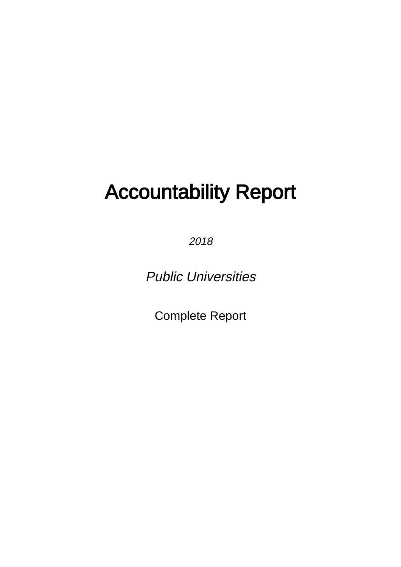# Accountability Report

2018

Public Universities

Complete Report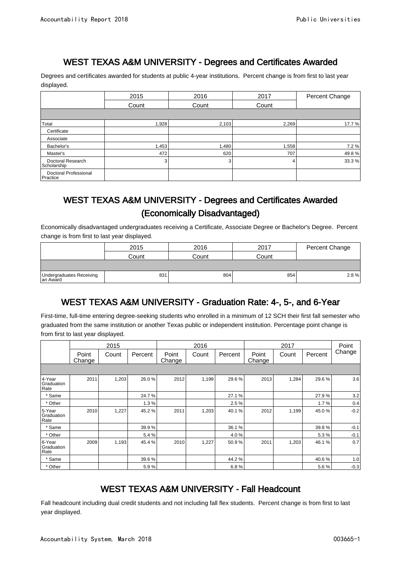## WEST TEXAS A&M UNIVERSITY - Degrees and Certificates Awarded

Degrees and certificates awarded for students at public 4-year institutions. Percent change is from first to last year displayed.

|                                   | 2015                    | 2016  | 2017  | Percent Change |
|-----------------------------------|-------------------------|-------|-------|----------------|
|                                   | Count<br>Count<br>Count |       |       |                |
|                                   |                         |       |       |                |
| Total                             | 1,928                   | 2,103 | 2,269 | 17.7 %         |
| Certificate                       |                         |       |       |                |
| Associate                         |                         |       |       |                |
| Bachelor's                        | 1,453                   | 1,480 | 1,558 | 7.2%           |
| Master's                          | 472                     | 620   | 707   | 49.8%          |
| Doctoral Research<br>Scholarship  | 3                       | 3     | 4     | 33.3%          |
| Doctoral Professional<br>Practice |                         |       |       |                |

### WEST TEXAS A&M UNIVERSITY - Degrees and Certificates Awarded (Economically Disadvantaged)

Economically disadvantaged undergraduates receiving a Certificate, Associate Degree or Bachelor's Degree. Percent change is from first to last year displayed.

|                                      | 2015  | 2016  | 2017  | Percent Change |  |
|--------------------------------------|-------|-------|-------|----------------|--|
|                                      | Count | Count | Count |                |  |
|                                      |       |       |       |                |  |
| Undergraduates Receiving<br>an Award | 831   | 804   | 854   | 2.8%           |  |

# WEST TEXAS A&M UNIVERSITY - Graduation Rate: 4-, 5-, and 6-Year

First-time, full-time entering degree-seeking students who enrolled in a minimum of 12 SCH their first fall semester who graduated from the same institution or another Texas public or independent institution. Percentage point change is from first to last year displayed.

|                              |                 | 2015  |         |                 | 2016  |         | 2017            |       |         | Point  |
|------------------------------|-----------------|-------|---------|-----------------|-------|---------|-----------------|-------|---------|--------|
|                              | Point<br>Change | Count | Percent | Point<br>Change | Count | Percent | Point<br>Change | Count | Percent | Change |
|                              |                 |       |         |                 |       |         |                 |       |         |        |
| 4-Year<br>Graduation<br>Rate | 2011            | 1,203 | 26.0%   | 2012            | 1,199 | 29.6%   | 2013            | 1,284 | 29.6%   | 3.6    |
| * Same                       |                 |       | 24.7%   |                 |       | 27.1%   |                 |       | 27.9%   | 3.2    |
| * Other                      |                 |       | 1.3%    |                 |       | 2.5%    |                 |       | 1.7%    | 0.4    |
| 5-Year<br>Graduation<br>Rate | 2010            | 1,227 | 45.2%   | 2011            | 1,203 | 40.1%   | 2012            | 1,199 | 45.0%   | $-0.2$ |
| * Same                       |                 |       | 39.9%   |                 |       | 36.1%   |                 |       | 39.8%   | $-0.1$ |
| * Other                      |                 |       | 5.4%    |                 |       | 4.0%    |                 |       | 5.3%    | $-0.1$ |
| 6-Year<br>Graduation<br>Rate | 2009            | 1,193 | 45.4%   | 2010            | 1,227 | 50.9%   | 2011            | 1,203 | 46.1%   | 0.7    |
| * Same                       |                 |       | 39.6 %  |                 |       | 44.2%   |                 |       | 40.6%   | 1.0    |
| * Other                      |                 |       | 5.9%    |                 |       | 6.8%    |                 |       | 5.6%    | $-0.3$ |

# WEST TEXAS A&M UNIVERSITY - Fall Headcount

Fall headcount including dual credit students and not including fall flex students. Percent change is from first to last year displayed.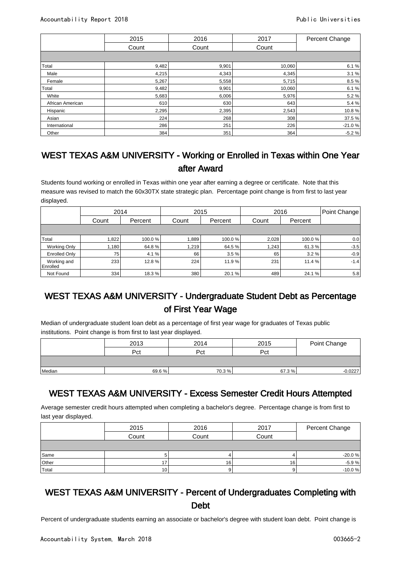|                  | 2015  | 2016  | 2017   | Percent Change |
|------------------|-------|-------|--------|----------------|
|                  | Count |       | Count  |                |
|                  |       |       |        |                |
| Total            | 9,482 | 9,901 | 10,060 | 6.1%           |
| Male             | 4,215 | 4,343 | 4,345  | 3.1%           |
| Female           | 5,267 | 5,558 | 5,715  | 8.5%           |
| Total            | 9,482 | 9,901 | 10,060 | 6.1%           |
| White            | 5,683 | 6,006 | 5,976  | 5.2%           |
| African American | 610   | 630   | 643    | 5.4%           |
| Hispanic         | 2,295 | 2,395 | 2,543  | 10.8%          |
| Asian            | 224   | 268   | 308    | 37.5%          |
| International    | 286   | 251   | 226    | $-21.0%$       |
| Other            | 384   | 351   | 364    | $-5.2%$        |

### WEST TEXAS A&M UNIVERSITY - Working or Enrolled in Texas within One Year after Award

Students found working or enrolled in Texas within one year after earning a degree or certificate. Note that this measure was revised to match the 60x30TX state strategic plan. Percentage point change is from first to last year displayed.

|                         | 2014  |         | 2015  |         | 2016  | Point Change |        |
|-------------------------|-------|---------|-------|---------|-------|--------------|--------|
|                         | Count | Percent | Count | Percent | Count | Percent      |        |
|                         |       |         |       |         |       |              |        |
| Total                   | 822.  | 100.0%  | ,889  | 100.0%  | 2,028 | 100.0 %      | 0.0    |
| <b>Working Only</b>     | 1,180 | 64.8%   | 1.219 | 64.5 %  | 1,243 | 61.3%        | $-3.5$ |
| Enrolled Only           | 75    | 4.1%    | 66    | 3.5%    | 65    | 3.2%         | $-0.9$ |
| Working and<br>Enrolled | 233   | 12.8%   | 224   | 11.9%   | 231   | 11.4 %       | $-1.4$ |
| Not Found               | 334   | 18.3%   | 380   | 20.1 %  | 489   | 24.1 %       | 5.8    |

### WEST TEXAS A&M UNIVERSITY - Undergraduate Student Debt as Percentage of First Year Wage

Median of undergraduate student loan debt as a percentage of first year wage for graduates of Texas public institutions. Point change is from first to last year displayed.

|        | 2013  | 2014  | 2015  | Point Change |
|--------|-------|-------|-------|--------------|
|        | Pct   | Pct   | Pct   |              |
|        |       |       |       |              |
| Median | 69.6% | 70.3% | 67.3% | $-0.0227$    |

# WEST TEXAS A&M UNIVERSITY - Excess Semester Credit Hours Attempted

Average semester credit hours attempted when completing a bachelor's degree. Percentage change is from first to last year displayed.

|       | 2015            | 2016            | 2017  | Percent Change |  |
|-------|-----------------|-----------------|-------|----------------|--|
|       | Count           | Count           | Count |                |  |
|       |                 |                 |       |                |  |
| Same  |                 |                 |       | $-20.0%$       |  |
| Other |                 | 16 <sub>1</sub> | 16    | $-5.9%$        |  |
| Total | 10 <sup>1</sup> |                 |       | $-10.0%$       |  |

### WEST TEXAS A&M UNIVERSITY - Percent of Undergraduates Completing with Debt

Percent of undergraduate students earning an associate or bachelor's degree with student loan debt. Point change is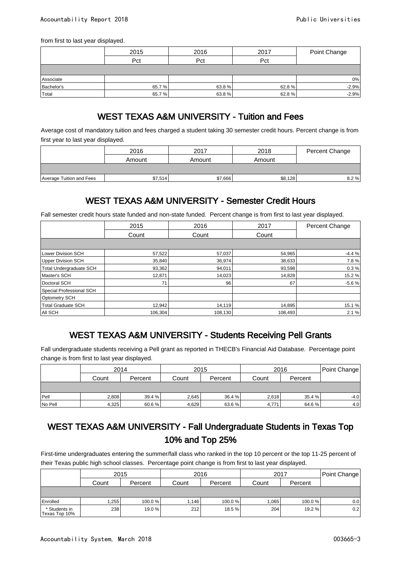from first to last year displayed.

|            | 2015  | 2016  | 2017  | Point Change |  |
|------------|-------|-------|-------|--------------|--|
|            | Pct   | Pct   | Pct   |              |  |
|            |       |       |       |              |  |
| Associate  |       |       |       | 0%           |  |
| Bachelor's | 65.7% | 63.8% | 62.8% | $-2.9%$      |  |
| 'Total     | 65.7% | 63.8% | 62.8% | $-2.9%$      |  |

# WEST TEXAS A&M UNIVERSITY - Tuition and Fees

Average cost of mandatory tuition and fees charged a student taking 30 semester credit hours. Percent change is from first year to last year displayed.

|                          | 2016             | 2017    | 2018    | Percent Change |  |
|--------------------------|------------------|---------|---------|----------------|--|
|                          | Amount<br>Amount |         | Amount  |                |  |
|                          |                  |         |         |                |  |
| Average Tuition and Fees | \$7,514          | \$7,666 | \$8,128 | 8.2%           |  |

# WEST TEXAS A&M UNIVERSITY - Semester Credit Hours

Fall semester credit hours state funded and non-state funded. Percent change is from first to last year displayed.

|                           | 2015    | 2016           | 2017    | Percent Change |  |
|---------------------------|---------|----------------|---------|----------------|--|
|                           | Count   | Count<br>Count |         |                |  |
|                           |         |                |         |                |  |
| <b>Lower Division SCH</b> | 57,522  | 57,037         | 54,965  | $-4.4%$        |  |
| <b>Upper Division SCH</b> | 35,840  | 36,974         | 38,633  | 7.8%           |  |
| Total Undergraduate SCH   | 93,362  | 94,011         | 93,598  | 0.3%           |  |
| Master's SCH              | 12,871  | 14,023         | 14,828  | 15.2 %         |  |
| Doctoral SCH              | 71      | 96             | 67      | $-5.6%$        |  |
| Special Professional SCH  |         |                |         |                |  |
| <b>Optometry SCH</b>      |         |                |         |                |  |
| <b>Total Graduate SCH</b> | 12,942  | 14,119         | 14,895  | 15.1 %         |  |
| <b>AII SCH</b>            | 106,304 | 108,130        | 108,493 | 2.1%           |  |

# WEST TEXAS A&M UNIVERSITY - Students Receiving Pell Grants

Fall undergraduate students receiving a Pell grant as reported in THECB's Financial Aid Database. Percentage point change is from first to last year displayed.

|         | 2014  |         | 2015  |         | 2016  | Point Change |        |
|---------|-------|---------|-------|---------|-------|--------------|--------|
|         | Count | Percent | Count | Percent | Count | Percent      |        |
|         |       |         |       |         |       |              |        |
| Pell    | 2,808 | 39.4 %  | 2,645 | 36.4 %  | 2,618 | 35.4 %       | $-4.0$ |
| No Pell | 4,325 | 60.6%   | 4,629 | 63.6%   | 4,771 | 64.6 %       | 4.0    |

#### WEST TEXAS A&M UNIVERSITY - Fall Undergraduate Students in Texas Top 10% and Top 25%

First-time undergraduates entering the summer/fall class who ranked in the top 10 percent or the top 11-25 percent of their Texas public high school classes. Percentage point change is from first to last year displayed.

|                                 | 2015  |         |       | 2016    |       | 2017<br>Point Change |     |
|---------------------------------|-------|---------|-------|---------|-------|----------------------|-----|
|                                 | Count | Percent | Count | Percent | Count | Percent              |     |
|                                 |       |         |       |         |       |                      |     |
| Enrolled                        | 1,255 | 100.0%  | 1.146 | 100.0%  | 1,065 | 100.0%               | 0.0 |
| * Students in<br>'Texas Top 10% | 238   | 19.0 %  | 212   | 18.5 %  | 204   | 19.2%                | 0.2 |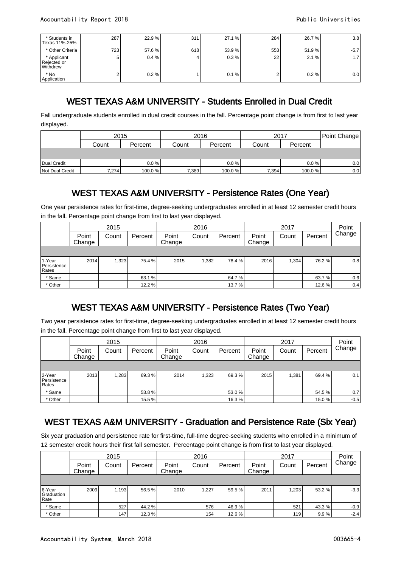| * Students in<br>Texas 11%-25%                | 287   | 22.9%  | 311 | 27.1 % | 284         | 26.7 %   | 3.8  |
|-----------------------------------------------|-------|--------|-----|--------|-------------|----------|------|
| * Other Criteria                              | 723 l | 57.6 % | 618 | 53.9 % | 553         | 51.9%    | -5.7 |
| * Applicant<br>Rejected or<br><b>Withdrew</b> | 5     | 0.4%   |     | 0.3%   | 22          | 2.1%     | 1.7  |
| * No<br>Application                           |       | 0.2%   |     | 0.1%   | $\sim$<br>∠ | $0.2 \%$ | 0.0  |

# WEST TEXAS A&M UNIVERSITY - Students Enrolled in Dual Credit

Fall undergraduate students enrolled in dual credit courses in the fall. Percentage point change is from first to last year displayed.

|                 | 2015  |         | 2016   |         | 2017  | Point Change |     |
|-----------------|-------|---------|--------|---------|-------|--------------|-----|
|                 | Count | Percent | Count  | Percent | Count | Percent      |     |
|                 |       |         |        |         |       |              |     |
| Dual Credit     |       | $0.0\%$ |        | 0.0%    |       | $0.0\%$      | 0.0 |
| Not Dual Credit | 7,274 | 100.0%  | 7,3891 | 100.0%  | 7,394 | 100.0 %      | 0.0 |

# WEST TEXAS A&M UNIVERSITY - Persistence Rates (One Year)

One year persistence rates for first-time, degree-seeking undergraduates enrolled in at least 12 semester credit hours in the fall. Percentage point change from first to last year displayed.

|                                  |                 | 2015  |         |                 | 2016  |         |                 | 2017  |         |        |  |
|----------------------------------|-----------------|-------|---------|-----------------|-------|---------|-----------------|-------|---------|--------|--|
|                                  | Point<br>Change | Count | Percent | Point<br>Change | Count | Percent | Point<br>Change | Count | Percent | Change |  |
|                                  |                 |       |         |                 |       |         |                 |       |         |        |  |
| l 1-Year<br>Persistence<br>Rates | 2014            | 1,323 | 75.4 %  | 2015            | 1,382 | 78.4 %  | 2016            | 1,304 | 76.2 %  | 0.8    |  |
| * Same                           |                 |       | 63.1 %  |                 |       | 64.7%   |                 |       | 63.7%   | 0.6    |  |
| * Other                          |                 |       | 12.2 %  |                 |       | 13.7%   |                 |       | 12.6%   | 0.4    |  |

# WEST TEXAS A&M UNIVERSITY - Persistence Rates (Two Year)

Two year persistence rates for first-time, degree-seeking undergraduates enrolled in at least 12 semester credit hours in the fall. Percentage point change from first to last year displayed.

|                                |                 | 2015  |         | 2016            |       |         |                 | Point |         |        |
|--------------------------------|-----------------|-------|---------|-----------------|-------|---------|-----------------|-------|---------|--------|
|                                | Point<br>Change | Count | Percent | Point<br>Change | Count | Percent | Point<br>Change | Count | Percent | Change |
|                                |                 |       |         |                 |       |         |                 |       |         |        |
| 2-Year<br>Persistence<br>Rates | 2013            | 1,283 | 69.3%   | 2014            | 1,323 | 69.3%   | 2015            | 1,381 | 69.4 %  | 0.1    |
| * Same                         |                 |       | 53.8%   |                 |       | 53.0%   |                 |       | 54.5 %  | 0.7    |
| * Other                        |                 |       | 15.5 %  |                 |       | 16.3%   |                 |       | 15.0%   | $-0.5$ |

# WEST TEXAS A&M UNIVERSITY - Graduation and Persistence Rate (Six Year)

Six year graduation and persistence rate for first-time, full-time degree-seeking students who enrolled in a minimum of 12 semester credit hours their first fall semester. Percentage point change is from first to last year displayed.

|                              |                 | 2015  |         |                 | 2016  |         |                 | 2017  |         |        |  |
|------------------------------|-----------------|-------|---------|-----------------|-------|---------|-----------------|-------|---------|--------|--|
|                              | Point<br>Change | Count | Percent | Point<br>Change | Count | Percent | Point<br>Change | Count | Percent | Change |  |
|                              |                 |       |         |                 |       |         |                 |       |         |        |  |
| 6-Year<br>Graduation<br>Rate | 2009            | 1,193 | 56.5%   | 2010            | 1,227 | 59.5%   | 2011            | 1,203 | 53.2 %  | $-3.3$ |  |
| * Same                       |                 | 527   | 44.2 %  |                 | 576   | 46.9%   |                 | 521   | 43.3 %  | $-0.9$ |  |
| * Other                      |                 | 147   | 12.3 %  |                 | 154   | 12.6%   |                 | 119   | 9.9%    | $-2.4$ |  |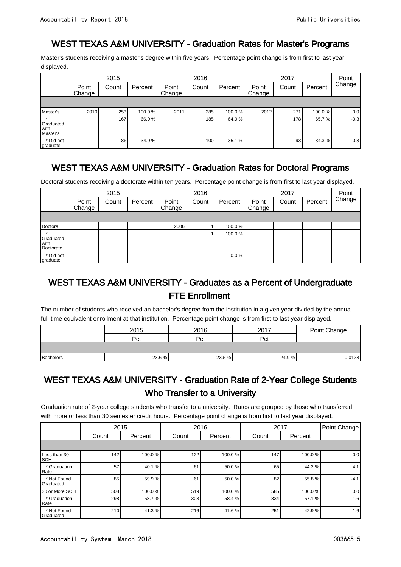### WEST TEXAS A&M UNIVERSITY - Graduation Rates for Master's Programs

Master's students receiving a master's degree within five years. Percentage point change is from first to last year displayed.

|                               |                 | 2015  |         | 2016            |       |         |                 | Point |         |        |
|-------------------------------|-----------------|-------|---------|-----------------|-------|---------|-----------------|-------|---------|--------|
|                               | Point<br>Change | Count | Percent | Point<br>Change | Count | Percent | Point<br>Change | Count | Percent | Change |
|                               |                 |       |         |                 |       |         |                 |       |         |        |
| Master's                      | 2010            | 253   | 100.0%  | 2011            | 285   | 100.0%  | 2012            | 271   | 100.0%  | 0.0    |
| Graduated<br>with<br>Master's |                 | 167   | 66.0%   |                 | 185   | 64.9%   |                 | 178   | 65.7%   | $-0.3$ |
| * Did not<br>graduate         |                 | 86    | 34.0 %  |                 | 100   | 35.1%   |                 | 93    | 34.3%   | 0.3    |

# WEST TEXAS A&M UNIVERSITY - Graduation Rates for Doctoral Programs

Doctoral students receiving a doctorate within ten years. Percentage point change is from first to last year displayed.

|                                  |                 | 2015  |         |                 | 2016  |         | 2017            |       |         | Point  |
|----------------------------------|-----------------|-------|---------|-----------------|-------|---------|-----------------|-------|---------|--------|
|                                  | Point<br>Change | Count | Percent | Point<br>Change | Count | Percent | Point<br>Change | Count | Percent | Change |
|                                  |                 |       |         |                 |       |         |                 |       |         |        |
| Doctoral                         |                 |       |         | 2006            |       | 100.0%  |                 |       |         |        |
| Graduated<br>l with<br>Doctorate |                 |       |         |                 |       | 100.0%  |                 |       |         |        |
| * Did not<br>graduate            |                 |       |         |                 |       | 0.0%    |                 |       |         |        |

### WEST TEXAS A&M UNIVERSITY - Graduates as a Percent of Undergraduate FTE Enrollment

The number of students who received an bachelor's degree from the institution in a given year divided by the annual full-time equivalent enrollment at that institution. Percentage point change is from first to last year displayed.

|           | 2015  | 2016  | 2017  | Point Change |
|-----------|-------|-------|-------|--------------|
|           | Pct   | Pct   | Pct   |              |
|           |       |       |       |              |
| Bachelors | 23.6% | 23.5% | 24.9% | 0.0128       |

### WEST TEXAS A&M UNIVERSITY - Graduation Rate of 2-Year College Students Who Transfer to a University

Graduation rate of 2-year college students who transfer to a university. Rates are grouped by those who transferred with more or less than 30 semester credit hours. Percentage point change is from first to last year displayed.

|                            | 2015  |         |       | 2016    | 2017  |         | Point Change |
|----------------------------|-------|---------|-------|---------|-------|---------|--------------|
|                            | Count | Percent | Count | Percent | Count | Percent |              |
|                            |       |         |       |         |       |         |              |
| Less than 30<br><b>SCH</b> | 142   | 100.0%  | 122   | 100.0%  | 147   | 100.0%  | 0.0          |
| * Graduation<br>Rate       | 57    | 40.1%   | 61    | 50.0%   | 65    | 44.2%   | 4.1          |
| * Not Found<br>Graduated   | 85    | 59.9%   | 61    | 50.0%   | 82    | 55.8%   | $-4.1$       |
| 30 or More SCH             | 508   | 100.0%  | 519   | 100.0%  | 585   | 100.0%  | 0.0          |
| * Graduation<br>Rate       | 298   | 58.7%   | 303   | 58.4 %  | 334   | 57.1 %  | $-1.6$       |
| * Not Found<br>Graduated   | 210   | 41.3%   | 216   | 41.6%   | 251   | 42.9%   | 1.6          |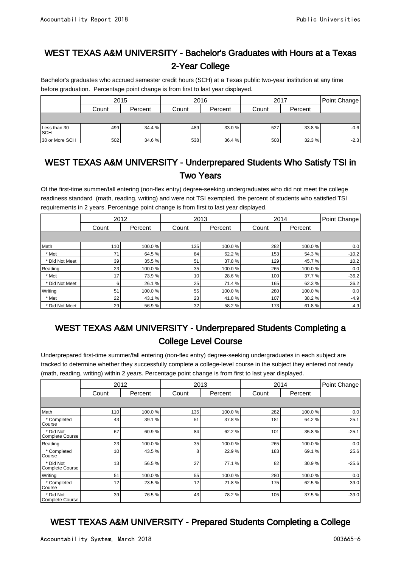### WEST TEXAS A&M UNIVERSITY - Bachelor's Graduates with Hours at a Texas 2-Year College

Bachelor's graduates who accrued semester credit hours (SCH) at a Texas public two-year institution at any time before graduation. Percentage point change is from first to last year displayed.

|                            | 2015  |         |       | 2016    | 2017  | Point Change |        |
|----------------------------|-------|---------|-------|---------|-------|--------------|--------|
|                            | Count | Percent | Count | Percent | Count | Percent      |        |
|                            |       |         |       |         |       |              |        |
| Less than 30<br><b>SCH</b> | 499   | 34.4 %  | 489   | 33.0 %  | 527   | 33.8%        | $-0.6$ |
| 30 or More SCH             | 502   | 34.6%   | 538   | 36.4 %  | 503   | 32.3%        | $-2.3$ |

### WEST TEXAS A&M UNIVERSITY - Underprepared Students Who Satisfy TSI in Two Years

Of the first-time summer/fall entering (non-flex entry) degree-seeking undergraduates who did not meet the college readiness standard (math, reading, writing) and were not TSI exempted, the percent of students who satisfied TSI requirements in 2 years. Percentage point change is from first to last year displayed.

|                | 2012    |         | 2013  |         |       | 2014    | Point Change |
|----------------|---------|---------|-------|---------|-------|---------|--------------|
|                | Count   | Percent | Count | Percent | Count | Percent |              |
|                |         |         |       |         |       |         |              |
| Math           | 110     | 100.0%  | 135   | 100.0%  | 282   | 100.0%  | 0.0          |
| * Met          | 71      | 64.5%   | 84    | 62.2%   | 153   | 54.3%   | $-10.2$      |
| * Did Not Meet | 39      | 35.5%   | 51    | 37.8%   | 129   | 45.7%   | 10.2         |
| Reading        | 23      | 100.0%  | 35    | 100.0%  | 265   | 100.0%  | 0.0          |
| * Met          | 17      | 73.9%   | 10    | 28.6%   | 100   | 37.7 %  | $-36.2$      |
| * Did Not Meet | 6       | 26.1%   | 25    | 71.4 %  | 165   | 62.3%   | 36.2         |
| Writing        | 51      | 100.0%  | 55    | 100.0%  | 280   | 100.0%  | 0.0          |
| * Met          | $22 \,$ | 43.1 %  | 23    | 41.8%   | 107   | 38.2%   | $-4.9$       |
| * Did Not Meet | 29      | 56.9%   | 32    | 58.2%   | 173   | 61.8%   | 4.9          |

## WEST TEXAS A&M UNIVERSITY - Underprepared Students Completing a College Level Course

Underprepared first-time summer/fall entering (non-flex entry) degree-seeking undergraduates in each subject are tracked to determine whether they successfully complete a college-level course in the subject they entered not ready (math, reading, writing) within 2 years. Percentage point change is from first to last year displayed.

|                                     | 2012  |         | 2013  |         | 2014  |         | Point Change |
|-------------------------------------|-------|---------|-------|---------|-------|---------|--------------|
|                                     | Count | Percent | Count | Percent | Count | Percent |              |
|                                     |       |         |       |         |       |         |              |
| Math                                | 110   | 100.0%  | 135   | 100.0%  | 282   | 100.0%  | 0.0          |
| * Completed<br>Course               | 43    | 39.1%   | 51    | 37.8%   | 181   | 64.2%   | 25.1         |
| * Did Not<br><b>Complete Course</b> | 67    | 60.9%   | 84    | 62.2%   | 101   | 35.8%   | $-25.1$      |
| Reading                             | 23    | 100.0%  | 35    | 100.0%  | 265   | 100.0%  | 0.0          |
| * Completed<br>Course               | 10    | 43.5%   | 8     | 22.9%   | 183   | 69.1%   | 25.6         |
| * Did Not<br><b>Complete Course</b> | 13    | 56.5%   | 27    | 77.1%   | 82    | 30.9%   | $-25.6$      |
| Writing                             | 51    | 100.0%  | 55    | 100.0%  | 280   | 100.0%  | 0.0          |
| * Completed<br>Course               | 12    | 23.5%   | 12    | 21.8%   | 175   | 62.5%   | 39.0         |
| * Did Not<br>Complete Course        | 39    | 76.5%   | 43    | 78.2%   | 105   | 37.5%   | $-39.0$      |

#### WEST TEXAS A&M UNIVERSITY - Prepared Students Completing a College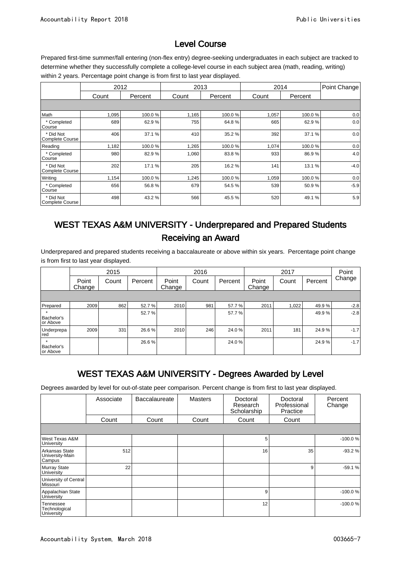# Level Course

Prepared first-time summer/fall entering (non-flex entry) degree-seeking undergraduates in each subject are tracked to determine whether they successfully complete a college-level course in each subject area (math, reading, writing) within 2 years. Percentage point change is from first to last year displayed.

|                                     |       | 2012    | 2013  |         |       | 2014    | Point Change |
|-------------------------------------|-------|---------|-------|---------|-------|---------|--------------|
|                                     | Count | Percent | Count | Percent | Count | Percent |              |
|                                     |       |         |       |         |       |         |              |
| Math                                | 1,095 | 100.0%  | 1,165 | 100.0%  | 1,057 | 100.0%  | 0.0          |
| * Completed<br>Course               | 689   | 62.9%   | 755   | 64.8%   | 665   | 62.9%   | 0.0          |
| * Did Not<br><b>Complete Course</b> | 406   | 37.1 %  | 410   | 35.2%   | 392   | 37.1 %  | 0.0          |
| Reading                             | 1,182 | 100.0%  | 1,265 | 100.0%  | 1,074 | 100.0%  | 0.0          |
| * Completed<br>Course               | 980   | 82.9%   | 1,060 | 83.8%   | 933   | 86.9%   | 4.0          |
| * Did Not<br><b>Complete Course</b> | 202   | 17.1%   | 205   | 16.2%   | 141   | 13.1%   | $-4.0$       |
| Writing                             | 1,154 | 100.0%  | 1,245 | 100.0%  | 1,059 | 100.0%  | 0.0          |
| * Completed<br>Course               | 656   | 56.8%   | 679   | 54.5%   | 539   | 50.9%   | $-5.9$       |
| * Did Not<br><b>Complete Course</b> | 498   | 43.2%   | 566   | 45.5 %  | 520   | 49.1%   | 5.9          |

### WEST TEXAS A&M UNIVERSITY - Underprepared and Prepared Students Receiving an Award

Underprepared and prepared students receiving a baccalaureate or above within six years. Percentage point change is from first to last year displayed.

|                                        |                 | 2015  |         |                 | 2016  |         |                 | 2017  |         | Point  |
|----------------------------------------|-----------------|-------|---------|-----------------|-------|---------|-----------------|-------|---------|--------|
|                                        | Point<br>Change | Count | Percent | Point<br>Change | Count | Percent | Point<br>Change | Count | Percent | Change |
|                                        |                 |       |         |                 |       |         |                 |       |         |        |
| Prepared                               | 2009            | 862   | 52.7%   | 2010            | 981   | 57.7%   | 2011            | 1,022 | 49.9%   | $-2.8$ |
| Bachelor's<br>l or Above               |                 |       | 52.7%   |                 |       | 57.7%   |                 |       | 49.9%   | $-2.8$ |
| Underprepa<br>red                      | 2009            | 331   | 26.6%   | 2010            | 246   | 24.0%   | 2011            | 181   | 24.9%   | $-1.7$ |
| $\mathbf{d}$<br>Bachelor's<br>or Above |                 |       | 26.6%   |                 |       | 24.0%   |                 |       | 24.9%   | $-1.7$ |

# WEST TEXAS A&M UNIVERSITY - Degrees Awarded by Level

Degrees awarded by level for out-of-state peer comparison. Percent change is from first to last year displayed.

|                                             | Associate | <b>Baccalaureate</b> | <b>Masters</b> | Doctoral<br>Research<br>Scholarship | Doctoral<br>Professional<br>Practice | Percent<br>Change |
|---------------------------------------------|-----------|----------------------|----------------|-------------------------------------|--------------------------------------|-------------------|
|                                             | Count     | Count                | Count          | Count                               | Count                                |                   |
|                                             |           |                      |                |                                     |                                      |                   |
| West Texas A&M<br><b>University</b>         |           |                      |                | 5                                   |                                      | $-100.0%$         |
| Arkansas State<br>University-Main<br>Campus | 512       |                      |                | 16                                  | 35                                   | $-93.2%$          |
| <b>Murray State</b><br>University           | 22        |                      |                |                                     | 9                                    | $-59.1%$          |
| University of Central<br>Missouri           |           |                      |                |                                     |                                      |                   |
| Appalachian State<br>University             |           |                      |                | 9                                   |                                      | $-100.0%$         |
| Tennessee<br>Technological<br>University    |           |                      |                | 12                                  |                                      | $-100.0%$         |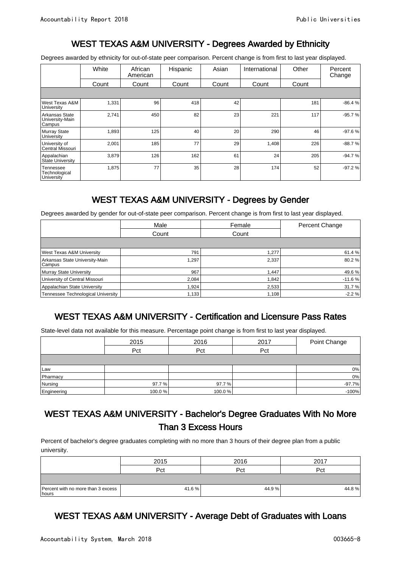### WEST TEXAS A&M UNIVERSITY - Degrees Awarded by Ethnicity

Degrees awarded by ethnicity for out-of-state peer comparison. Percent change is from first to last year displayed.

|                                             | White | African<br>American | Hispanic | Asian | International | Other | Percent<br>Change |
|---------------------------------------------|-------|---------------------|----------|-------|---------------|-------|-------------------|
|                                             | Count | Count               | Count    | Count | Count         | Count |                   |
|                                             |       |                     |          |       |               |       |                   |
| West Texas A&M<br>University                | 1,331 | 96                  | 418      | 42    |               | 181   | $-86.4%$          |
| Arkansas State<br>University-Main<br>Campus | 2,741 | 450                 | 82       | 23    | 221           | 117   | $-95.7%$          |
| <b>Murray State</b><br>University           | 1,893 | 125                 | 40       | 20    | 290           | 46    | $-97.6%$          |
| University of<br>Central Missouri           | 2,001 | 185                 | 77       | 29    | 1,408         | 226   | $-88.7%$          |
| Appalachian<br><b>State University</b>      | 3,879 | 126                 | 162      | 61    | 24            | 205   | $-94.7%$          |
| Tennessee<br>Technological<br>University    | 1,875 | 77                  | 35       | 28    | 174           | 52    | $-97.2%$          |

# WEST TEXAS A&M UNIVERSITY - Degrees by Gender

Degrees awarded by gender for out-of-state peer comparison. Percent change is from first to last year displayed.

|                                          | Male   | Female | Percent Change |  |
|------------------------------------------|--------|--------|----------------|--|
|                                          | Count  | Count  |                |  |
|                                          |        |        |                |  |
| West Texas A&M University                | 791    | 1,277  | 61.4%          |  |
| Arkansas State University-Main<br>Campus | 1,297  | 2,337  | 80.2%          |  |
| Murray State University                  | 967    | 1.447  | 49.6 %         |  |
| University of Central Missouri           | 2,084  | 1.842  | $-11.6%$       |  |
| Appalachian State University             | 1,924  | 2,533  | 31.7%          |  |
| Tennessee Technological University       | 1,1331 | 1,108  | $-2.2%$        |  |

# WEST TEXAS A&M UNIVERSITY - Certification and Licensure Pass Rates

State-level data not available for this measure. Percentage point change is from first to last year displayed.

|             | 2015    | 2016   | 2017 | Point Change |
|-------------|---------|--------|------|--------------|
|             | Pct     | Pct    | Pct  |              |
|             |         |        |      |              |
| Law         |         |        |      | $0\%$        |
| Pharmacy    |         |        |      | 0%           |
| Nursing     | 97.7%   | 97.7%  |      | $-97.7%$     |
| Engineering | 100.0 % | 100.0% |      | $-100%$      |

### WEST TEXAS A&M UNIVERSITY - Bachelor's Degree Graduates With No More Than 3 Excess Hours

Percent of bachelor's degree graduates completing with no more than 3 hours of their degree plan from a public university.

|                                             | 2015   | 2016  | 2017  |  |
|---------------------------------------------|--------|-------|-------|--|
|                                             | Pct    | Pct   | Pct   |  |
|                                             |        |       |       |  |
| Percent with no more than 3 excess<br>hours | 41.6 % | 44.9% | 44.8% |  |

# WEST TEXAS A&M UNIVERSITY - Average Debt of Graduates with Loans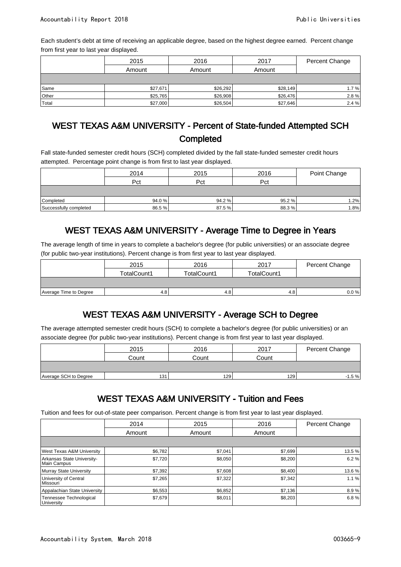Each student's debt at time of receiving an applicable degree, based on the highest degree earned. Percent change from first year to last year displayed.

|                    | 2015     | 2016     | 2017     | Percent Change |
|--------------------|----------|----------|----------|----------------|
|                    | Amount   | Amount   | Amount   |                |
|                    |          |          |          |                |
| Same               | \$27,671 | \$26,292 | \$28,149 | 1.7%           |
| <sup>1</sup> Other | \$25,765 | \$26,908 | \$26,476 | 2.8%           |
| Total              | \$27,000 | \$26,504 | \$27,646 | 2.4%           |

### WEST TEXAS A&M UNIVERSITY - Percent of State-funded Attempted SCH **Completed**

Fall state-funded semester credit hours (SCH) completed divided by the fall state-funded semester credit hours attempted. Percentage point change is from first to last year displayed.

|                        | 2014   | 2015  | 2016  | Point Change |
|------------------------|--------|-------|-------|--------------|
|                        | Pct    | Pct   | Pct   |              |
|                        |        |       |       |              |
| Completed              | 94.0 % | 94.2% | 95.2% | 1.2%         |
| Successfully completed | 86.5%  | 87.5% | 88.3% | .8%          |

# WEST TEXAS A&M UNIVERSITY - Average Time to Degree in Years

The average length of time in years to complete a bachelor's degree (for public universities) or an associate degree (for public two-year institutions). Percent change is from first year to last year displayed.

|                        | 2015             | 2016        | 2017        | Percent Change |
|------------------------|------------------|-------------|-------------|----------------|
|                        | TotalCount1      | TotalCount1 | TotalCount1 |                |
|                        |                  |             |             |                |
| Average Time to Degree | 4.8 <sub>1</sub> | 4.81        | 4.8         | 0.0 %          |

# WEST TEXAS A&M UNIVERSITY - Average SCH to Degree

The average attempted semester credit hours (SCH) to complete a bachelor's degree (for public universities) or an associate degree (for public two-year institutions). Percent change is from first year to last year displayed.

|                       | 2015  | 2016             | 2017  | Percent Change |
|-----------------------|-------|------------------|-------|----------------|
|                       | Count | Count            | Count |                |
|                       |       |                  |       |                |
| Average SCH to Degree | 131   | 129 <sup>1</sup> | 129   | $-1.5%$        |

# WEST TEXAS A&M UNIVERSITY - Tuition and Fees

Tuition and fees for out-of-state peer comparison. Percent change is from first year to last year displayed.

|                                           | 2014    | 2015    | 2016    | Percent Change |
|-------------------------------------------|---------|---------|---------|----------------|
|                                           | Amount  | Amount  | Amount  |                |
|                                           |         |         |         |                |
| West Texas A&M University                 | \$6,782 | \$7,041 | \$7,699 | 13.5 %         |
| Arkansas State University-<br>Main Campus | \$7,720 | \$8,050 | \$8,200 | 6.2%           |
| Murray State University                   | \$7,392 | \$7,608 | \$8,400 | 13.6%          |
| University of Central<br>Missouri         | \$7,265 | \$7,322 | \$7,342 | 1.1%           |
| Appalachian State University              | \$6,553 | \$6,852 | \$7,136 | 8.9%           |
| Tennessee Technological<br>University     | \$7,679 | \$8,011 | \$8,203 | 6.8%           |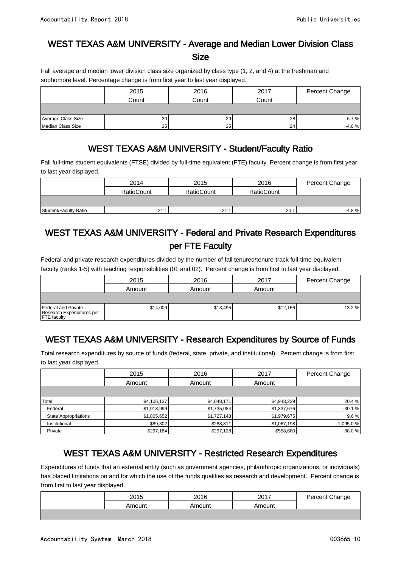### WEST TEXAS A&M UNIVERSITY - Average and Median Lower Division Class Size

Fall average and median lower division class size organized by class type (1, 2, and 4) at the freshman and sophomore level. Percentage change is from first year to last year displayed.

|                    | 2015            | 2016  | 2017  | Percent Change |
|--------------------|-----------------|-------|-------|----------------|
|                    | Count           | Count | Count |                |
|                    |                 |       |       |                |
| Average Class Size | 30 <sup>1</sup> | 29    | 28    | $-6.7%$        |
| Median Class Size  | 25              | 25    | 24    | $-4.0%$        |

# WEST TEXAS A&M UNIVERSITY - Student/Faculty Ratio

Fall full-time student equivalents (FTSE) divided by full-time equivalent (FTE) faculty. Percent change is from first year to last year displayed.

|                       | 2014              | 2015              | 2016              | Percent Change |
|-----------------------|-------------------|-------------------|-------------------|----------------|
|                       | <b>RatioCount</b> | <b>RatioCount</b> | <b>RatioCount</b> |                |
|                       |                   |                   |                   |                |
| Student/Faculty Ratio | 21:1              | 21:1              | 20:1              | $-4.8%$        |

### WEST TEXAS A&M UNIVERSITY - Federal and Private Research Expenditures per FTE Faculty

Federal and private research expenditures divided by the number of fall tenured/tenure-track full-time-equivalent faculty (ranks 1-5) with teaching responsibilities (01 and 02). Percent change is from first to last year displayed.

|                                                                        | 2015<br>Amount | 2016<br>Amount | 2017<br>Amount | Percent Change |  |
|------------------------------------------------------------------------|----------------|----------------|----------------|----------------|--|
|                                                                        |                |                |                |                |  |
| Federal and Private<br>Research Expenditures per<br><b>FTE</b> faculty | \$14,009       | \$13,495       | \$12,156       | $-13.2%$       |  |

# WEST TEXAS A&M UNIVERSITY - Research Expenditures by Source of Funds

Total research expenditures by source of funds (federal, state, private, and institutional). Percent change is from first to last year displayed.

|                             | 2015        | 2016        | 2017        | Percent Change |
|-----------------------------|-------------|-------------|-------------|----------------|
|                             | Amount      | Amount      | Amount      |                |
|                             |             |             |             |                |
| Total                       | \$4,106,137 | \$4,048,171 | \$4,943,229 | 20.4 %         |
| Federal                     | \$1,913,999 | \$1,735,084 | \$1,337,676 | $-30.1%$       |
| <b>State Appropriations</b> | \$1,805,652 | \$1,727,148 | \$1,979,675 | 9.6%           |
| Institutional               | \$89,302    | \$288,811   | \$1,067,198 | 1,095.0 %      |
| Private                     | \$297,184   | \$297,128   | \$558,680   | 88.0%          |

### WEST TEXAS A&M UNIVERSITY - Restricted Research Expenditures

Expenditures of funds that an external entity (such as government agencies, philanthropic organizations, or individuals) has placed limitations on and for which the use of the funds qualifies as research and development. Percent change is from first to last year displayed.

| 2015   | 2016   | 2017   | Percent Change |
|--------|--------|--------|----------------|
| Amount | Amount | Amount |                |
|        |        |        |                |